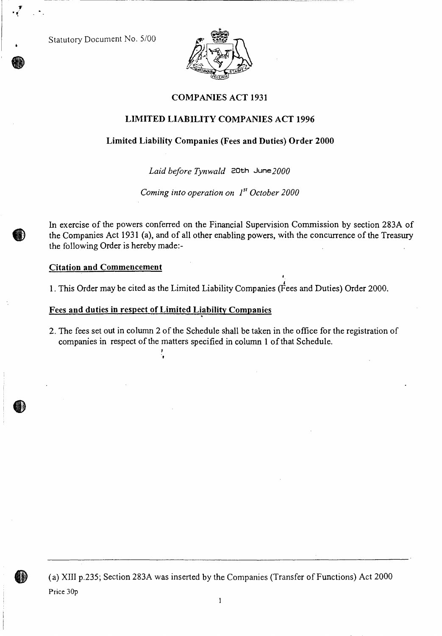Statutory Document No. 5/00



## **COMPANIES ACT 1931**

### **LIMITED LIABILITY COMPANIES ACT 1996**

#### **Limited Liability Companies (Fees and Duties) Order 2000**

*Laid before Tynwald* 20th June2000

*Coming into operation on* 1<sup>st</sup> October 2000

In exercise of the powers conferred on the Financial Supervision Commission by section 283A of the Companies Act 1931 (a), and of all other enabling powers, with the concurrence of the Treasury the following Order is hereby made:-

#### **Citation and Commencement**

1. This Order may be cited as the Limited Liability Companies (Fees and Duties) Order 2000.

#### Fees **and duties in respect of Limited Liability Companies**

:'

2. The fees set out in column 2 of the Schedule shall be taken in the office for the registration of companies in respect of the matters specified in column 1 of that Schedule.



(a) XIII p.235; Section 283A was inserted by the Companies (Transfer of Functions) Act 2000